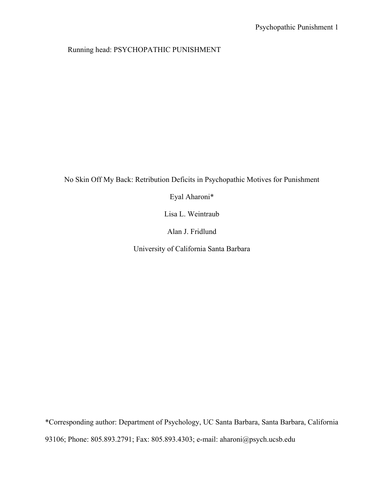# Running head: PSYCHOPATHIC PUNISHMENT

No Skin Off My Back: Retribution Deficits in Psychopathic Motives for Punishment

Eyal Aharoni\*

Lisa L. Weintraub

Alan J. Fridlund

University of California Santa Barbara

\*Corresponding author: Department of Psychology, UC Santa Barbara, Santa Barbara, California 93106; Phone: 805.893.2791; Fax: 805.893.4303; e-mail: aharoni@psych.ucsb.edu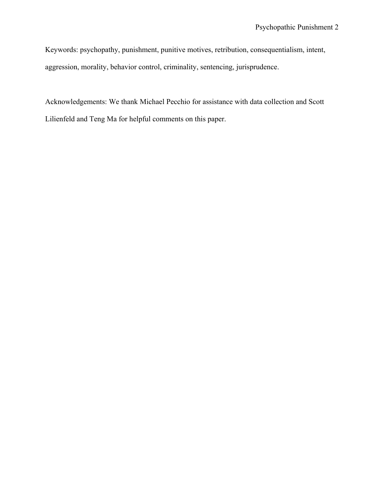Keywords: psychopathy, punishment, punitive motives, retribution, consequentialism, intent, aggression, morality, behavior control, criminality, sentencing, jurisprudence.

Acknowledgements: We thank Michael Pecchio for assistance with data collection and Scott Lilienfeld and Teng Ma for helpful comments on this paper.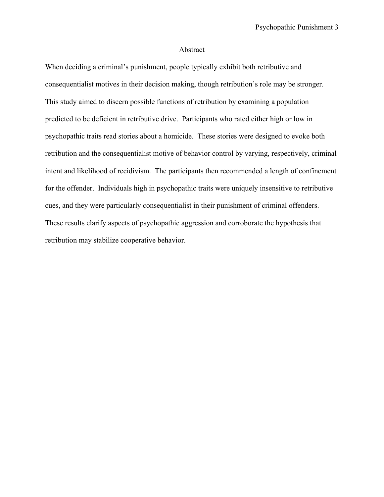### Abstract

When deciding a criminal's punishment, people typically exhibit both retributive and consequentialist motives in their decision making, though retribution's role may be stronger. This study aimed to discern possible functions of retribution by examining a population predicted to be deficient in retributive drive. Participants who rated either high or low in psychopathic traits read stories about a homicide. These stories were designed to evoke both retribution and the consequentialist motive of behavior control by varying, respectively, criminal intent and likelihood of recidivism. The participants then recommended a length of confinement for the offender. Individuals high in psychopathic traits were uniquely insensitive to retributive cues, and they were particularly consequentialist in their punishment of criminal offenders. These results clarify aspects of psychopathic aggression and corroborate the hypothesis that retribution may stabilize cooperative behavior.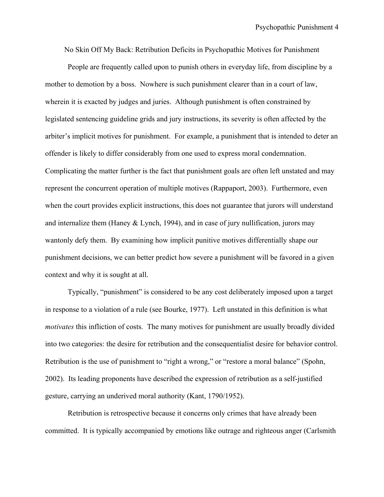No Skin Off My Back: Retribution Deficits in Psychopathic Motives for Punishment

 People are frequently called upon to punish others in everyday life, from discipline by a mother to demotion by a boss. Nowhere is such punishment clearer than in a court of law, wherein it is exacted by judges and juries. Although punishment is often constrained by legislated sentencing guideline grids and jury instructions, its severity is often affected by the arbiter's implicit motives for punishment. For example, a punishment that is intended to deter an offender is likely to differ considerably from one used to express moral condemnation. Complicating the matter further is the fact that punishment goals are often left unstated and may represent the concurrent operation of multiple motives (Rappaport, 2003). Furthermore, even when the court provides explicit instructions, this does not guarantee that jurors will understand and internalize them (Haney  $&$  Lynch, 1994), and in case of jury nullification, jurors may wantonly defy them. By examining how implicit punitive motives differentially shape our punishment decisions, we can better predict how severe a punishment will be favored in a given context and why it is sought at all.

Typically, "punishment" is considered to be any cost deliberately imposed upon a target in response to a violation of a rule (see Bourke, 1977). Left unstated in this definition is what *motivates* this infliction of costs. The many motives for punishment are usually broadly divided into two categories: the desire for retribution and the consequentialist desire for behavior control. Retribution is the use of punishment to "right a wrong," or "restore a moral balance" (Spohn, 2002). Its leading proponents have described the expression of retribution as a self-justified gesture, carrying an underived moral authority (Kant, 1790/1952).

Retribution is retrospective because it concerns only crimes that have already been committed. It is typically accompanied by emotions like outrage and righteous anger (Carlsmith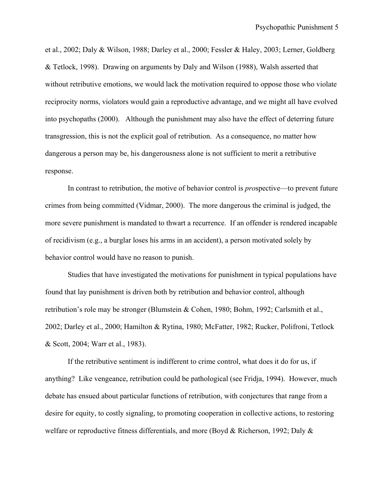et al., 2002; Daly & Wilson, 1988; Darley et al., 2000; Fessler & Haley, 2003; Lerner, Goldberg & Tetlock, 1998). Drawing on arguments by Daly and Wilson (1988), Walsh asserted that without retributive emotions, we would lack the motivation required to oppose those who violate reciprocity norms, violators would gain a reproductive advantage, and we might all have evolved into psychopaths (2000). Although the punishment may also have the effect of deterring future transgression, this is not the explicit goal of retribution. As a consequence, no matter how dangerous a person may be, his dangerousness alone is not sufficient to merit a retributive response.

 In contrast to retribution, the motive of behavior control is *pro*spective—to prevent future crimes from being committed (Vidmar, 2000). The more dangerous the criminal is judged, the more severe punishment is mandated to thwart a recurrence. If an offender is rendered incapable of recidivism (e.g., a burglar loses his arms in an accident), a person motivated solely by behavior control would have no reason to punish.

 Studies that have investigated the motivations for punishment in typical populations have found that lay punishment is driven both by retribution and behavior control, although retribution's role may be stronger (Blumstein & Cohen, 1980; Bohm, 1992; Carlsmith et al., 2002; Darley et al., 2000; Hamilton & Rytina, 1980; McFatter, 1982; Rucker, Polifroni, Tetlock & Scott, 2004; Warr et al., 1983).

If the retributive sentiment is indifferent to crime control, what does it do for us, if anything? Like vengeance, retribution could be pathological (see Fridja, 1994). However, much debate has ensued about particular functions of retribution, with conjectures that range from a desire for equity, to costly signaling, to promoting cooperation in collective actions, to restoring welfare or reproductive fitness differentials, and more (Boyd & Richerson, 1992; Daly &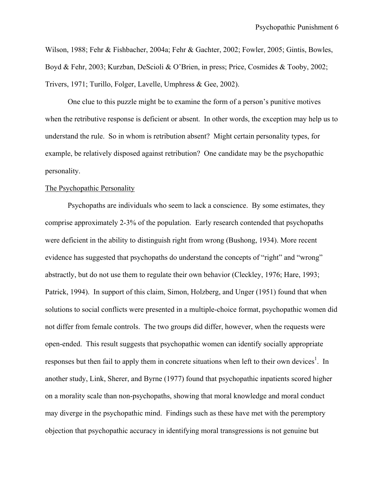Wilson, 1988; Fehr & Fishbacher, 2004a; Fehr & Gachter, 2002; Fowler, 2005; Gintis, Bowles, Boyd & Fehr, 2003; Kurzban, DeScioli & O'Brien, in press; Price, Cosmides & Tooby, 2002; Trivers, 1971; Turillo, Folger, Lavelle, Umphress & Gee, 2002).

One clue to this puzzle might be to examine the form of a person's punitive motives when the retributive response is deficient or absent. In other words, the exception may help us to understand the rule. So in whom is retribution absent? Might certain personality types, for example, be relatively disposed against retribution? One candidate may be the psychopathic personality.

### The Psychopathic Personality

Psychopaths are individuals who seem to lack a conscience. By some estimates, they comprise approximately 2-3% of the population. Early research contended that psychopaths were deficient in the ability to distinguish right from wrong (Bushong, 1934). More recent evidence has suggested that psychopaths do understand the concepts of "right" and "wrong" abstractly, but do not use them to regulate their own behavior (Cleckley, 1976; Hare, 1993; Patrick, 1994). In support of this claim, Simon, Holzberg, and Unger (1951) found that when solutions to social conflicts were presented in a multiple-choice format, psychopathic women did not differ from female controls. The two groups did differ, however, when the requests were open-ended. This result suggests that psychopathic women can identify socially appropriate responses but then fail to apply them in concrete situations when left to their own devices<sup>1</sup>. In another study, Link, Sherer, and Byrne (1977) found that psychopathic inpatients scored higher on a morality scale than non-psychopaths, showing that moral knowledge and moral conduct may diverge in the psychopathic mind. Findings such as these have met with the peremptory objection that psychopathic accuracy in identifying moral transgressions is not genuine but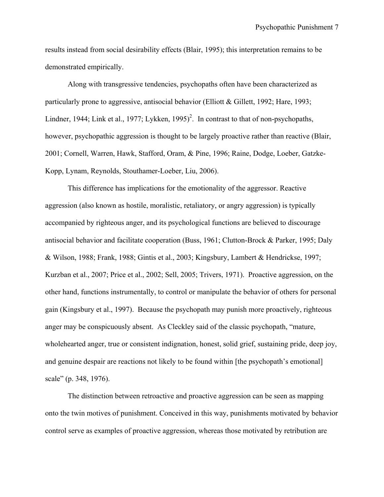results instead from social desirability effects (Blair, 1995); this interpretation remains to be demonstrated empirically.

Along with transgressive tendencies, psychopaths often have been characterized as particularly prone to aggressive, antisocial behavior (Elliott & Gillett, 1992; Hare, 1993; Lindner, 1944; Link et al., 1977; Lykken, 1995)<sup>2</sup>. In contrast to that of non-psychopaths, however, psychopathic aggression is thought to be largely proactive rather than reactive (Blair, 2001; Cornell, Warren, Hawk, Stafford, Oram, & Pine, 1996; Raine, Dodge, Loeber, Gatzke-Kopp, Lynam, Reynolds, Stouthamer-Loeber, Liu, 2006).

This difference has implications for the emotionality of the aggressor. Reactive aggression (also known as hostile, moralistic, retaliatory, or angry aggression) is typically accompanied by righteous anger, and its psychological functions are believed to discourage antisocial behavior and facilitate cooperation (Buss, 1961; Clutton-Brock & Parker, 1995; Daly & Wilson, 1988; Frank, 1988; Gintis et al., 2003; Kingsbury, Lambert & Hendrickse, 1997; Kurzban et al., 2007; Price et al., 2002; Sell, 2005; Trivers, 1971). Proactive aggression, on the other hand, functions instrumentally, to control or manipulate the behavior of others for personal gain (Kingsbury et al., 1997). Because the psychopath may punish more proactively, righteous anger may be conspicuously absent. As Cleckley said of the classic psychopath, "mature, wholehearted anger, true or consistent indignation, honest, solid grief, sustaining pride, deep joy, and genuine despair are reactions not likely to be found within [the psychopath's emotional] scale" (p. 348, 1976).

The distinction between retroactive and proactive aggression can be seen as mapping onto the twin motives of punishment. Conceived in this way, punishments motivated by behavior control serve as examples of proactive aggression, whereas those motivated by retribution are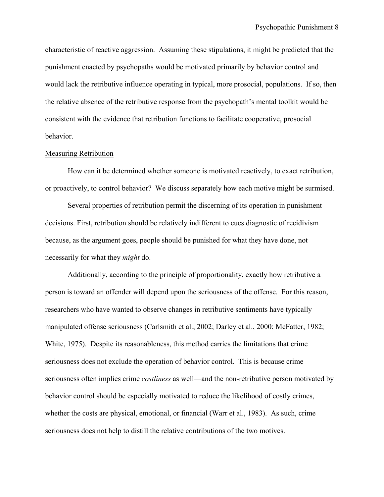characteristic of reactive aggression. Assuming these stipulations, it might be predicted that the punishment enacted by psychopaths would be motivated primarily by behavior control and would lack the retributive influence operating in typical, more prosocial, populations. If so, then the relative absence of the retributive response from the psychopath's mental toolkit would be consistent with the evidence that retribution functions to facilitate cooperative, prosocial behavior.

#### Measuring Retribution

How can it be determined whether someone is motivated reactively, to exact retribution, or proactively, to control behavior? We discuss separately how each motive might be surmised.

Several properties of retribution permit the discerning of its operation in punishment decisions. First, retribution should be relatively indifferent to cues diagnostic of recidivism because, as the argument goes, people should be punished for what they have done, not necessarily for what they *might* do.

Additionally, according to the principle of proportionality, exactly how retributive a person is toward an offender will depend upon the seriousness of the offense. For this reason, researchers who have wanted to observe changes in retributive sentiments have typically manipulated offense seriousness (Carlsmith et al., 2002; Darley et al., 2000; McFatter, 1982; White, 1975). Despite its reasonableness, this method carries the limitations that crime seriousness does not exclude the operation of behavior control. This is because crime seriousness often implies crime *costliness* as well—and the non-retributive person motivated by behavior control should be especially motivated to reduce the likelihood of costly crimes, whether the costs are physical, emotional, or financial (Warr et al., 1983). As such, crime seriousness does not help to distill the relative contributions of the two motives.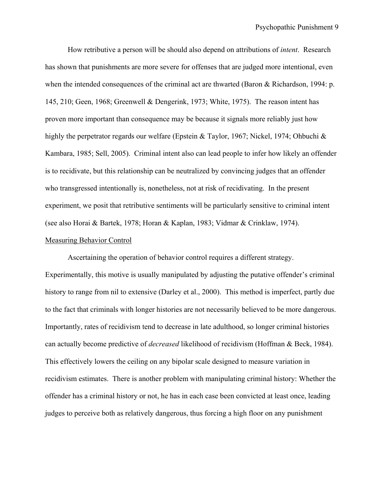How retributive a person will be should also depend on attributions of *intent*. Research has shown that punishments are more severe for offenses that are judged more intentional, even when the intended consequences of the criminal act are thwarted (Baron & Richardson, 1994: p. 145, 210; Geen, 1968; Greenwell & Dengerink, 1973; White, 1975). The reason intent has proven more important than consequence may be because it signals more reliably just how highly the perpetrator regards our welfare (Epstein & Taylor, 1967; Nickel, 1974; Ohbuchi & Kambara, 1985; Sell, 2005). Criminal intent also can lead people to infer how likely an offender is to recidivate, but this relationship can be neutralized by convincing judges that an offender who transgressed intentionally is, nonetheless, not at risk of recidivating. In the present experiment, we posit that retributive sentiments will be particularly sensitive to criminal intent (see also Horai & Bartek, 1978; Horan & Kaplan, 1983; Vidmar & Crinklaw, 1974).

### Measuring Behavior Control

Ascertaining the operation of behavior control requires a different strategy. Experimentally, this motive is usually manipulated by adjusting the putative offender's criminal history to range from nil to extensive (Darley et al., 2000). This method is imperfect, partly due to the fact that criminals with longer histories are not necessarily believed to be more dangerous. Importantly, rates of recidivism tend to decrease in late adulthood, so longer criminal histories can actually become predictive of *decreased* likelihood of recidivism (Hoffman & Beck, 1984). This effectively lowers the ceiling on any bipolar scale designed to measure variation in recidivism estimates. There is another problem with manipulating criminal history: Whether the offender has a criminal history or not, he has in each case been convicted at least once, leading judges to perceive both as relatively dangerous, thus forcing a high floor on any punishment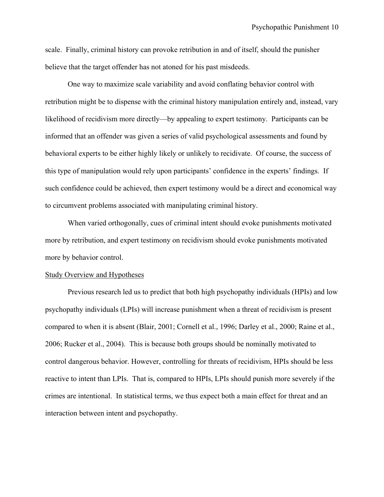scale. Finally, criminal history can provoke retribution in and of itself, should the punisher believe that the target offender has not atoned for his past misdeeds.

One way to maximize scale variability and avoid conflating behavior control with retribution might be to dispense with the criminal history manipulation entirely and, instead, vary likelihood of recidivism more directly—by appealing to expert testimony. Participants can be informed that an offender was given a series of valid psychological assessments and found by behavioral experts to be either highly likely or unlikely to recidivate. Of course, the success of this type of manipulation would rely upon participants' confidence in the experts' findings. If such confidence could be achieved, then expert testimony would be a direct and economical way to circumvent problems associated with manipulating criminal history.

When varied orthogonally, cues of criminal intent should evoke punishments motivated more by retribution, and expert testimony on recidivism should evoke punishments motivated more by behavior control.

## Study Overview and Hypotheses

Previous research led us to predict that both high psychopathy individuals (HPIs) and low psychopathy individuals (LPIs) will increase punishment when a threat of recidivism is present compared to when it is absent (Blair, 2001; Cornell et al., 1996; Darley et al., 2000; Raine et al., 2006; Rucker et al., 2004). This is because both groups should be nominally motivated to control dangerous behavior. However, controlling for threats of recidivism, HPIs should be less reactive to intent than LPIs. That is, compared to HPIs, LPIs should punish more severely if the crimes are intentional. In statistical terms, we thus expect both a main effect for threat and an interaction between intent and psychopathy.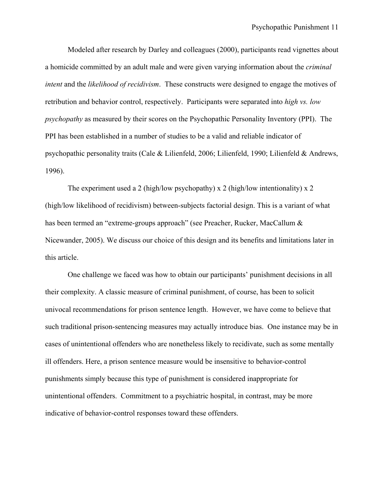Modeled after research by Darley and colleagues (2000), participants read vignettes about a homicide committed by an adult male and were given varying information about the *criminal intent* and the *likelihood of recidivism*. These constructs were designed to engage the motives of retribution and behavior control, respectively. Participants were separated into *high vs. low psychopathy* as measured by their scores on the Psychopathic Personality Inventory (PPI). The PPI has been established in a number of studies to be a valid and reliable indicator of psychopathic personality traits (Cale & Lilienfeld, 2006; Lilienfeld, 1990; Lilienfeld & Andrews, 1996).

The experiment used a 2 (high/low psychopathy) x 2 (high/low intentionality) x 2 (high/low likelihood of recidivism) between-subjects factorial design. This is a variant of what has been termed an "extreme-groups approach" (see Preacher, Rucker, MacCallum & Nicewander, 2005). We discuss our choice of this design and its benefits and limitations later in this article.

One challenge we faced was how to obtain our participants' punishment decisions in all their complexity. A classic measure of criminal punishment, of course, has been to solicit univocal recommendations for prison sentence length. However, we have come to believe that such traditional prison-sentencing measures may actually introduce bias. One instance may be in cases of unintentional offenders who are nonetheless likely to recidivate, such as some mentally ill offenders. Here, a prison sentence measure would be insensitive to behavior-control punishments simply because this type of punishment is considered inappropriate for unintentional offenders. Commitment to a psychiatric hospital, in contrast, may be more indicative of behavior-control responses toward these offenders.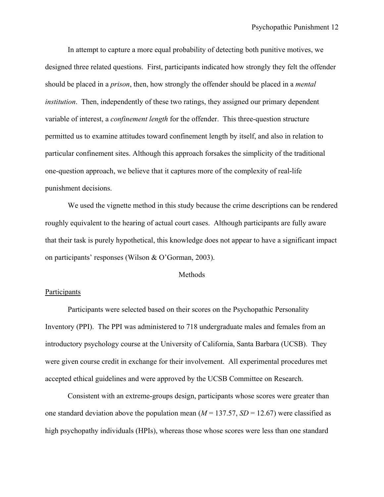In attempt to capture a more equal probability of detecting both punitive motives, we designed three related questions. First, participants indicated how strongly they felt the offender should be placed in a *prison*, then, how strongly the offender should be placed in a *mental institution*. Then, independently of these two ratings, they assigned our primary dependent variable of interest, a *confinement length* for the offender. This three-question structure permitted us to examine attitudes toward confinement length by itself, and also in relation to particular confinement sites. Although this approach forsakes the simplicity of the traditional one-question approach, we believe that it captures more of the complexity of real-life punishment decisions.

We used the vignette method in this study because the crime descriptions can be rendered roughly equivalent to the hearing of actual court cases. Although participants are fully aware that their task is purely hypothetical, this knowledge does not appear to have a significant impact on participants' responses (Wilson & O'Gorman, 2003).

## Methods

#### **Participants**

Participants were selected based on their scores on the Psychopathic Personality Inventory (PPI). The PPI was administered to 718 undergraduate males and females from an introductory psychology course at the University of California, Santa Barbara (UCSB). They were given course credit in exchange for their involvement. All experimental procedures met accepted ethical guidelines and were approved by the UCSB Committee on Research.

Consistent with an extreme-groups design, participants whose scores were greater than one standard deviation above the population mean  $(M = 137.57, SD = 12.67)$  were classified as high psychopathy individuals (HPIs), whereas those whose scores were less than one standard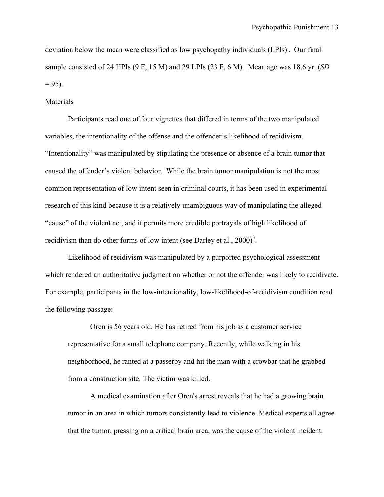deviation below the mean were classified as low psychopathy individuals (LPIs) . Our final sample consisted of 24 HPIs (9 F, 15 M) and 29 LPIs (23 F, 6 M). Mean age was 18.6 yr. (*SD*  $= .95$ ).

## Materials

 Participants read one of four vignettes that differed in terms of the two manipulated variables, the intentionality of the offense and the offender's likelihood of recidivism. "Intentionality" was manipulated by stipulating the presence or absence of a brain tumor that caused the offender's violent behavior. While the brain tumor manipulation is not the most common representation of low intent seen in criminal courts, it has been used in experimental research of this kind because it is a relatively unambiguous way of manipulating the alleged "cause" of the violent act, and it permits more credible portrayals of high likelihood of recidivism than do other forms of low intent (see Darley et al., 2000)<sup>3</sup>.

Likelihood of recidivism was manipulated by a purported psychological assessment which rendered an authoritative judgment on whether or not the offender was likely to recidivate. For example, participants in the low-intentionality, low-likelihood-of-recidivism condition read the following passage:

Oren is 56 years old. He has retired from his job as a customer service representative for a small telephone company. Recently, while walking in his neighborhood, he ranted at a passerby and hit the man with a crowbar that he grabbed from a construction site. The victim was killed.

 A medical examination after Oren's arrest reveals that he had a growing brain tumor in an area in which tumors consistently lead to violence. Medical experts all agree that the tumor, pressing on a critical brain area, was the cause of the violent incident.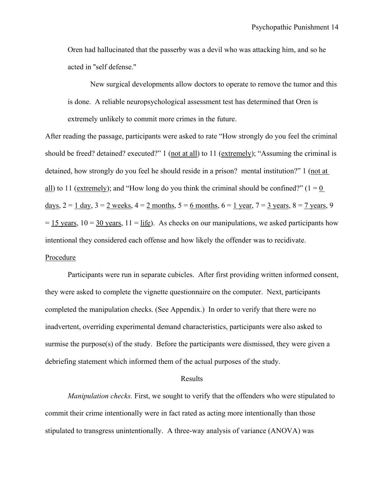Oren had hallucinated that the passerby was a devil who was attacking him, and so he acted in ''self defense.''

New surgical developments allow doctors to operate to remove the tumor and this is done. A reliable neuropsychological assessment test has determined that Oren is extremely unlikely to commit more crimes in the future.

After reading the passage, participants were asked to rate "How strongly do you feel the criminal should be freed? detained? executed?" 1 (not at all) to 11 (extremely); "Assuming the criminal is detained, how strongly do you feel he should reside in a prison? mental institution?" 1 (not at all) to 11 (extremely); and "How long do you think the criminal should be confined?"  $(1 = 0$ days,  $2 = 1$  day,  $3 = 2$  weeks,  $4 = 2$  months,  $5 = 6$  months,  $6 = 1$  year,  $7 = 3$  years,  $8 = 7$  years, 9  $= 15$  years,  $10 = 30$  years,  $11 =$  life). As checks on our manipulations, we asked participants how intentional they considered each offense and how likely the offender was to recidivate. Procedure

 Participants were run in separate cubicles. After first providing written informed consent, they were asked to complete the vignette questionnaire on the computer. Next, participants completed the manipulation checks. (See Appendix.) In order to verify that there were no inadvertent, overriding experimental demand characteristics, participants were also asked to surmise the purpose(s) of the study. Before the participants were dismissed, they were given a debriefing statement which informed them of the actual purposes of the study.

#### Results

*Manipulation checks.* First, we sought to verify that the offenders who were stipulated to commit their crime intentionally were in fact rated as acting more intentionally than those stipulated to transgress unintentionally. A three-way analysis of variance (ANOVA) was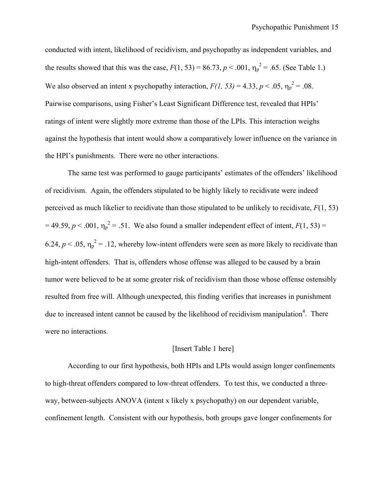conducted with intent, likelihood of recidivism, and psychopathy as independent variables, and the results showed that this was the case,  $F(1, 53) = 86.73$ ,  $p < .001$ ,  $\eta_p^2 = .65$ . (See Table 1.) We also observed an intent x psychopathy interaction,  $F(1, 53) = 4.33$ ,  $p < .05$ ,  $\eta_p^2 = .08$ . Pairwise comparisons, using Fisher's Least Significant Difference test, revealed that HPIs' ratings of intent were slightly more extreme than those of the LPIs. This interaction weighs against the hypothesis that intent would show a comparatively lower influence on the variance in the HPI's punishments. There were no other interactions.

The same test was performed to gauge participants' estimates of the offenders' likelihood of recidivism. Again, the offenders stipulated to be highly likely to recidivate were indeed perceived as much likelier to recidivate than those stipulated to be unlikely to recidivate, *F*(1, 53)  $= 49.59, p < .001, \eta_p^2 = .51$ . We also found a smaller independent effect of intent,  $F(1, 53) =$ 6.24,  $p < 0.05$ ,  $\eta_p^2 = 0.12$ , whereby low-intent offenders were seen as more likely to recidivate than high-intent offenders. That is, offenders whose offense was alleged to be caused by a brain tumor were believed to be at some greater risk of recidivism than those whose offense ostensibly resulted from free will. Although unexpected, this finding verifies that increases in punishment due to increased intent cannot be caused by the likelihood of recidivism manipulation<sup>4</sup>. There were no interactions.

## [Insert Table 1 here]

 According to our first hypothesis, both HPIs and LPIs would assign longer confinements to high-threat offenders compared to low-threat offenders. To test this, we conducted a threeway, between-subjects ANOVA (intent x likely x psychopathy) on our dependent variable, confinement length. Consistent with our hypothesis, both groups gave longer confinements for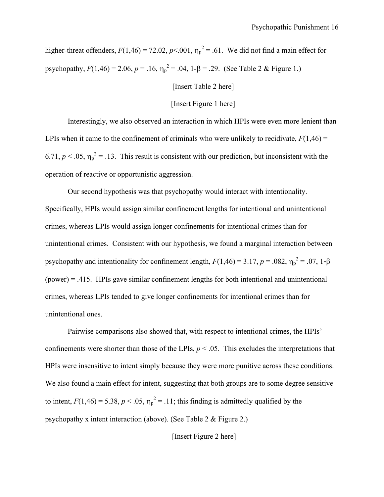higher-threat offenders,  $F(1,46) = 72.02$ ,  $p < .001$ ,  $\eta_p^2 = .61$ . We did not find a main effect for psychopathy,  $F(1,46) = 2.06$ ,  $p = .16$ ,  $\eta_p^2 = .04$ ,  $1-\beta = .29$ . (See Table 2 & Figure 1.)

[Insert Table 2 here]

## [Insert Figure 1 here]

Interestingly, we also observed an interaction in which HPIs were even more lenient than LPIs when it came to the confinement of criminals who were unlikely to recidivate,  $F(1,46) =$ 6.71,  $p < 0.05$ ,  $\eta_p^2 = 0.13$ . This result is consistent with our prediction, but inconsistent with the operation of reactive or opportunistic aggression.

Our second hypothesis was that psychopathy would interact with intentionality. Specifically, HPIs would assign similar confinement lengths for intentional and unintentional crimes, whereas LPIs would assign longer confinements for intentional crimes than for unintentional crimes. Consistent with our hypothesis, we found a marginal interaction between psychopathy and intentionality for confinement length,  $F(1,46) = 3.17$ ,  $p = .082$ ,  $\eta_p^2 = .07$ , 1- $\beta$ (power) = .415. HPIs gave similar confinement lengths for both intentional and unintentional crimes, whereas LPIs tended to give longer confinements for intentional crimes than for unintentional ones.

Pairwise comparisons also showed that, with respect to intentional crimes, the HPIs' confinements were shorter than those of the LPIs,  $p < .05$ . This excludes the interpretations that HPIs were insensitive to intent simply because they were more punitive across these conditions. We also found a main effect for intent, suggesting that both groups are to some degree sensitive to intent,  $F(1,46) = 5.38$ ,  $p < .05$ ,  $\eta_p^2 = .11$ ; this finding is admittedly qualified by the psychopathy x intent interaction (above). (See Table 2 & Figure 2.)

[Insert Figure 2 here]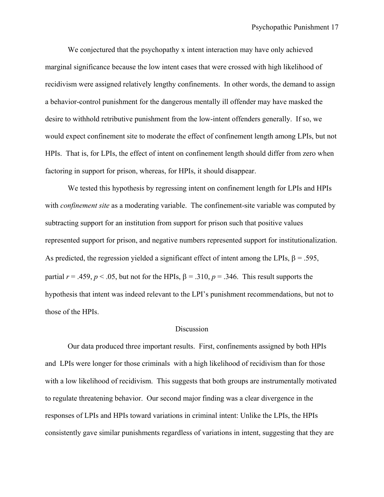We conjectured that the psychopathy x intent interaction may have only achieved marginal significance because the low intent cases that were crossed with high likelihood of recidivism were assigned relatively lengthy confinements. In other words, the demand to assign a behavior-control punishment for the dangerous mentally ill offender may have masked the desire to withhold retributive punishment from the low-intent offenders generally. If so, we would expect confinement site to moderate the effect of confinement length among LPIs, but not HPIs. That is, for LPIs, the effect of intent on confinement length should differ from zero when factoring in support for prison, whereas, for HPIs, it should disappear.

We tested this hypothesis by regressing intent on confinement length for LPIs and HPIs with *confinement site* as a moderating variable. The confinement-site variable was computed by subtracting support for an institution from support for prison such that positive values represented support for prison, and negative numbers represented support for institutionalization. As predicted, the regression yielded a significant effect of intent among the LPIs,  $\beta = .595$ , partial  $r = .459$ ,  $p < .05$ , but not for the HPIs,  $\beta = .310$ ,  $p = .346$ . This result supports the hypothesis that intent was indeed relevant to the LPI's punishment recommendations, but not to those of the HPIs.

## **Discussion**

 Our data produced three important results. First, confinements assigned by both HPIs and LPIs were longer for those criminals with a high likelihood of recidivism than for those with a low likelihood of recidivism. This suggests that both groups are instrumentally motivated to regulate threatening behavior. Our second major finding was a clear divergence in the responses of LPIs and HPIs toward variations in criminal intent: Unlike the LPIs, the HPIs consistently gave similar punishments regardless of variations in intent, suggesting that they are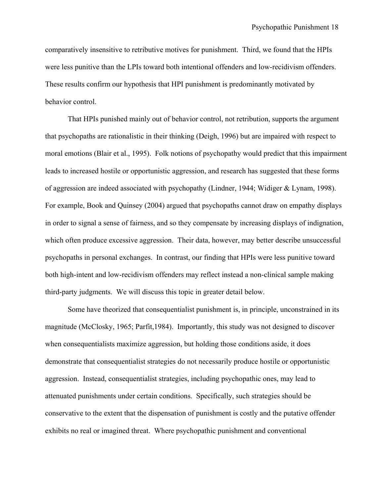comparatively insensitive to retributive motives for punishment. Third, we found that the HPIs were less punitive than the LPIs toward both intentional offenders and low-recidivism offenders. These results confirm our hypothesis that HPI punishment is predominantly motivated by behavior control.

That HPIs punished mainly out of behavior control, not retribution, supports the argument that psychopaths are rationalistic in their thinking (Deigh, 1996) but are impaired with respect to moral emotions (Blair et al., 1995). Folk notions of psychopathy would predict that this impairment leads to increased hostile or opportunistic aggression, and research has suggested that these forms of aggression are indeed associated with psychopathy (Lindner, 1944; Widiger & Lynam, 1998). For example, Book and Quinsey (2004) argued that psychopaths cannot draw on empathy displays in order to signal a sense of fairness, and so they compensate by increasing displays of indignation, which often produce excessive aggression. Their data, however, may better describe unsuccessful psychopaths in personal exchanges. In contrast, our finding that HPIs were less punitive toward both high-intent and low-recidivism offenders may reflect instead a non-clinical sample making third-party judgments. We will discuss this topic in greater detail below.

Some have theorized that consequentialist punishment is, in principle, unconstrained in its magnitude (McClosky, 1965; Parfit,1984). Importantly, this study was not designed to discover when consequentialists maximize aggression, but holding those conditions aside, it does demonstrate that consequentialist strategies do not necessarily produce hostile or opportunistic aggression. Instead, consequentialist strategies, including psychopathic ones, may lead to attenuated punishments under certain conditions. Specifically, such strategies should be conservative to the extent that the dispensation of punishment is costly and the putative offender exhibits no real or imagined threat. Where psychopathic punishment and conventional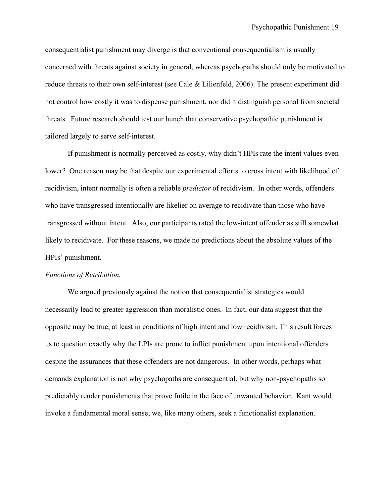consequentialist punishment may diverge is that conventional consequentialism is usually concerned with threats against society in general, whereas psychopaths should only be motivated to reduce threats to their own self-interest (see Cale & Lilienfeld, 2006). The present experiment did not control how costly it was to dispense punishment, nor did it distinguish personal from societal threats. Future research should test our hunch that conservative psychopathic punishment is tailored largely to serve self-interest.

If punishment is normally perceived as costly, why didn't HPIs rate the intent values even lower? One reason may be that despite our experimental efforts to cross intent with likelihood of recidivism, intent normally is often a reliable *predictor* of recidivism. In other words, offenders who have transgressed intentionally are likelier on average to recidivate than those who have transgressed without intent. Also, our participants rated the low-intent offender as still somewhat likely to recidivate. For these reasons, we made no predictions about the absolute values of the HPIs' punishment.

#### *Functions of Retribution.*

We argued previously against the notion that consequentialist strategies would necessarily lead to greater aggression than moralistic ones. In fact, our data suggest that the opposite may be true, at least in conditions of high intent and low recidivism. This result forces us to question exactly why the LPIs are prone to inflict punishment upon intentional offenders despite the assurances that these offenders are not dangerous. In other words, perhaps what demands explanation is not why psychopaths are consequential, but why non-psychopaths so predictably render punishments that prove futile in the face of unwanted behavior. Kant would invoke a fundamental moral sense; we, like many others, seek a functionalist explanation.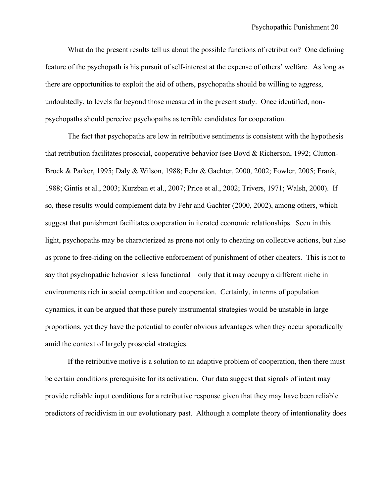What do the present results tell us about the possible functions of retribution? One defining feature of the psychopath is his pursuit of self-interest at the expense of others' welfare. As long as there are opportunities to exploit the aid of others, psychopaths should be willing to aggress, undoubtedly, to levels far beyond those measured in the present study. Once identified, nonpsychopaths should perceive psychopaths as terrible candidates for cooperation.

The fact that psychopaths are low in retributive sentiments is consistent with the hypothesis that retribution facilitates prosocial, cooperative behavior (see Boyd & Richerson, 1992; Clutton-Brock & Parker, 1995; Daly & Wilson, 1988; Fehr & Gachter, 2000, 2002; Fowler, 2005; Frank, 1988; Gintis et al., 2003; Kurzban et al., 2007; Price et al., 2002; Trivers, 1971; Walsh, 2000). If so, these results would complement data by Fehr and Gachter (2000, 2002), among others, which suggest that punishment facilitates cooperation in iterated economic relationships. Seen in this light, psychopaths may be characterized as prone not only to cheating on collective actions, but also as prone to free-riding on the collective enforcement of punishment of other cheaters. This is not to say that psychopathic behavior is less functional – only that it may occupy a different niche in environments rich in social competition and cooperation. Certainly, in terms of population dynamics, it can be argued that these purely instrumental strategies would be unstable in large proportions, yet they have the potential to confer obvious advantages when they occur sporadically amid the context of largely prosocial strategies.

If the retributive motive is a solution to an adaptive problem of cooperation, then there must be certain conditions prerequisite for its activation. Our data suggest that signals of intent may provide reliable input conditions for a retributive response given that they may have been reliable predictors of recidivism in our evolutionary past. Although a complete theory of intentionality does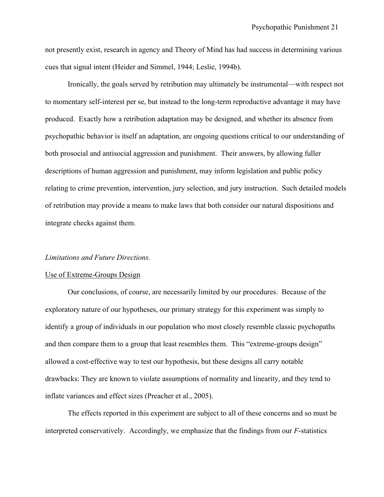not presently exist, research in agency and Theory of Mind has had success in determining various cues that signal intent (Heider and Simmel, 1944; Leslie, 1994b).

Ironically, the goals served by retribution may ultimately be instrumental—with respect not to momentary self-interest per se, but instead to the long-term reproductive advantage it may have produced. Exactly how a retribution adaptation may be designed, and whether its absence from psychopathic behavior is itself an adaptation, are ongoing questions critical to our understanding of both prosocial and antisocial aggression and punishment. Their answers, by allowing fuller descriptions of human aggression and punishment, may inform legislation and public policy relating to crime prevention, intervention, jury selection, and jury instruction. Such detailed models of retribution may provide a means to make laws that both consider our natural dispositions and integrate checks against them.

#### *Limitations and Future Directions.*

#### Use of Extreme-Groups Design

Our conclusions, of course, are necessarily limited by our procedures. Because of the exploratory nature of our hypotheses, our primary strategy for this experiment was simply to identify a group of individuals in our population who most closely resemble classic psychopaths and then compare them to a group that least resembles them. This "extreme-groups design" allowed a cost-effective way to test our hypothesis, but these designs all carry notable drawbacks: They are known to violate assumptions of normality and linearity, and they tend to inflate variances and effect sizes (Preacher et al., 2005).

The effects reported in this experiment are subject to all of these concerns and so must be interpreted conservatively. Accordingly, we emphasize that the findings from our *F*-statistics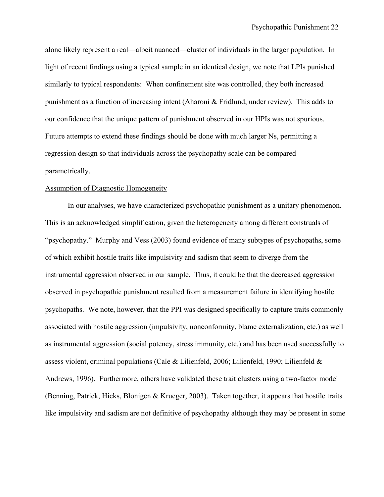alone likely represent a real—albeit nuanced—cluster of individuals in the larger population. In light of recent findings using a typical sample in an identical design, we note that LPIs punished similarly to typical respondents: When confinement site was controlled, they both increased punishment as a function of increasing intent (Aharoni & Fridlund, under review). This adds to our confidence that the unique pattern of punishment observed in our HPIs was not spurious. Future attempts to extend these findings should be done with much larger Ns, permitting a regression design so that individuals across the psychopathy scale can be compared parametrically.

#### Assumption of Diagnostic Homogeneity

In our analyses, we have characterized psychopathic punishment as a unitary phenomenon. This is an acknowledged simplification, given the heterogeneity among different construals of "psychopathy." Murphy and Vess (2003) found evidence of many subtypes of psychopaths, some of which exhibit hostile traits like impulsivity and sadism that seem to diverge from the instrumental aggression observed in our sample. Thus, it could be that the decreased aggression observed in psychopathic punishment resulted from a measurement failure in identifying hostile psychopaths. We note, however, that the PPI was designed specifically to capture traits commonly associated with hostile aggression (impulsivity, nonconformity, blame externalization, etc.) as well as instrumental aggression (social potency, stress immunity, etc.) and has been used successfully to assess violent, criminal populations (Cale & Lilienfeld, 2006; Lilienfeld, 1990; Lilienfeld & Andrews, 1996). Furthermore, others have validated these trait clusters using a two-factor model (Benning, Patrick, Hicks, Blonigen & Krueger, 2003). Taken together, it appears that hostile traits like impulsivity and sadism are not definitive of psychopathy although they may be present in some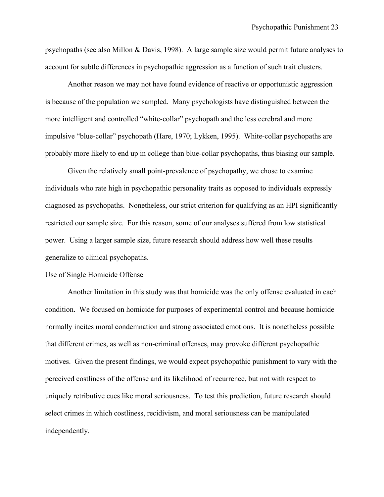psychopaths (see also Millon & Davis, 1998). A large sample size would permit future analyses to account for subtle differences in psychopathic aggression as a function of such trait clusters.

 Another reason we may not have found evidence of reactive or opportunistic aggression is because of the population we sampled. Many psychologists have distinguished between the more intelligent and controlled "white-collar" psychopath and the less cerebral and more impulsive "blue-collar" psychopath (Hare, 1970; Lykken, 1995). White-collar psychopaths are probably more likely to end up in college than blue-collar psychopaths, thus biasing our sample.

Given the relatively small point-prevalence of psychopathy, we chose to examine individuals who rate high in psychopathic personality traits as opposed to individuals expressly diagnosed as psychopaths. Nonetheless, our strict criterion for qualifying as an HPI significantly restricted our sample size. For this reason, some of our analyses suffered from low statistical power. Using a larger sample size, future research should address how well these results generalize to clinical psychopaths.

#### Use of Single Homicide Offense

Another limitation in this study was that homicide was the only offense evaluated in each condition. We focused on homicide for purposes of experimental control and because homicide normally incites moral condemnation and strong associated emotions. It is nonetheless possible that different crimes, as well as non-criminal offenses, may provoke different psychopathic motives. Given the present findings, we would expect psychopathic punishment to vary with the perceived costliness of the offense and its likelihood of recurrence, but not with respect to uniquely retributive cues like moral seriousness. To test this prediction, future research should select crimes in which costliness, recidivism, and moral seriousness can be manipulated independently.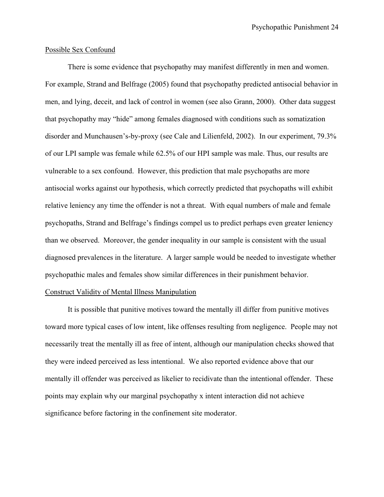## Possible Sex Confound

There is some evidence that psychopathy may manifest differently in men and women. For example, Strand and Belfrage (2005) found that psychopathy predicted antisocial behavior in men, and lying, deceit, and lack of control in women (see also Grann, 2000). Other data suggest that psychopathy may "hide" among females diagnosed with conditions such as somatization disorder and Munchausen's-by-proxy (see Cale and Lilienfeld, 2002). In our experiment, 79.3% of our LPI sample was female while 62.5% of our HPI sample was male. Thus, our results are vulnerable to a sex confound. However, this prediction that male psychopaths are more antisocial works against our hypothesis, which correctly predicted that psychopaths will exhibit relative leniency any time the offender is not a threat. With equal numbers of male and female psychopaths, Strand and Belfrage's findings compel us to predict perhaps even greater leniency than we observed. Moreover, the gender inequality in our sample is consistent with the usual diagnosed prevalences in the literature. A larger sample would be needed to investigate whether psychopathic males and females show similar differences in their punishment behavior.

## Construct Validity of Mental Illness Manipulation

It is possible that punitive motives toward the mentally ill differ from punitive motives toward more typical cases of low intent, like offenses resulting from negligence. People may not necessarily treat the mentally ill as free of intent, although our manipulation checks showed that they were indeed perceived as less intentional. We also reported evidence above that our mentally ill offender was perceived as likelier to recidivate than the intentional offender. These points may explain why our marginal psychopathy x intent interaction did not achieve significance before factoring in the confinement site moderator.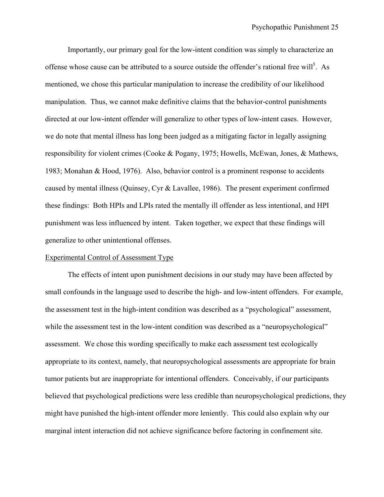Importantly, our primary goal for the low-intent condition was simply to characterize an offense whose cause can be attributed to a source outside the offender's rational free will<sup>5</sup>. As mentioned, we chose this particular manipulation to increase the credibility of our likelihood manipulation. Thus, we cannot make definitive claims that the behavior-control punishments directed at our low-intent offender will generalize to other types of low-intent cases. However, we do note that mental illness has long been judged as a mitigating factor in legally assigning responsibility for violent crimes (Cooke & Pogany, 1975; Howells, McEwan, Jones, & Mathews, 1983; Monahan & Hood, 1976). Also, behavior control is a prominent response to accidents caused by mental illness (Quinsey, Cyr & Lavallee, 1986). The present experiment confirmed these findings: Both HPIs and LPIs rated the mentally ill offender as less intentional, and HPI punishment was less influenced by intent. Taken together, we expect that these findings will generalize to other unintentional offenses.

## Experimental Control of Assessment Type

The effects of intent upon punishment decisions in our study may have been affected by small confounds in the language used to describe the high- and low-intent offenders. For example, the assessment test in the high-intent condition was described as a "psychological" assessment, while the assessment test in the low-intent condition was described as a "neuropsychological" assessment. We chose this wording specifically to make each assessment test ecologically appropriate to its context, namely, that neuropsychological assessments are appropriate for brain tumor patients but are inappropriate for intentional offenders. Conceivably, if our participants believed that psychological predictions were less credible than neuropsychological predictions, they might have punished the high-intent offender more leniently. This could also explain why our marginal intent interaction did not achieve significance before factoring in confinement site.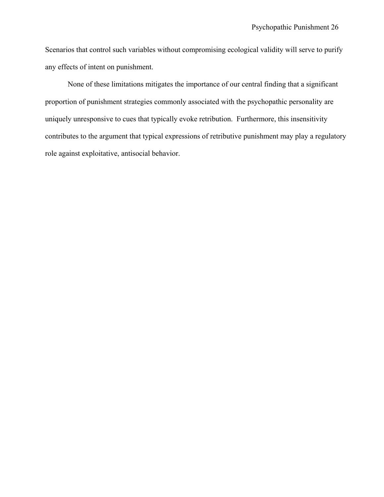Scenarios that control such variables without compromising ecological validity will serve to purify any effects of intent on punishment.

None of these limitations mitigates the importance of our central finding that a significant proportion of punishment strategies commonly associated with the psychopathic personality are uniquely unresponsive to cues that typically evoke retribution. Furthermore, this insensitivity contributes to the argument that typical expressions of retributive punishment may play a regulatory role against exploitative, antisocial behavior.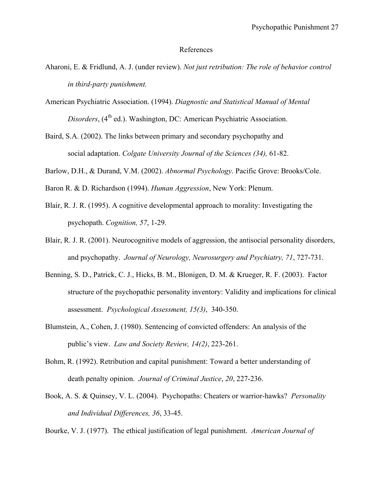#### References

- Aharoni, E. & Fridlund, A. J. (under review). *Not just retribution: The role of behavior control in third-party punishment.*
- American Psychiatric Association. (1994). *Diagnostic and Statistical Manual of Mental Disorders*, (4<sup>th</sup> ed.). Washington, DC: American Psychiatric Association.
- Baird, S.A. (2002). The links between primary and secondary psychopathy and social adaptation. *Colgate University Journal of the Sciences (34),* 61-82.

Barlow, D.H., & Durand, V.M. (2002). *Abnormal Psychology*. Pacific Grove: Brooks/Cole.

Baron R. & D. Richardson (1994). *Human Aggression*, New York: Plenum.

- Blair, R. J. R. (1995). A cognitive developmental approach to morality: Investigating the psychopath. *Cognition, 57*, 1-29.
- Blair, R. J. R. (2001). Neurocognitive models of aggression, the antisocial personality disorders, and psychopathy. *Journal of Neurology, Neurosurgery and Psychiatry, 71*, 727-731.
- Benning, S. D., Patrick, C. J., Hicks, B. M., Blonigen, D. M. & Krueger, R. F. (2003). Factor structure of the psychopathic personality inventory: Validity and implications for clinical assessment. *Psychological Assessment, 15(3)*, 340-350.
- Blumstein, A., Cohen, J. (1980). Sentencing of convicted offenders: An analysis of the public's view. *Law and Society Review, 14(2)*, 223-261.
- Bohm, R. (1992). Retribution and capital punishment: Toward a better understanding of death penalty opinion. *Journal of Criminal Justice*, *20*, 227-236.
- Book, A. S. & Quinsey, V. L. (2004). Psychopaths: Cheaters or warrior-hawks? *Personality and Individual Differences, 36*, 33-45.

Bourke, V. J. (1977). The ethical justification of legal punishment. *American Journal of*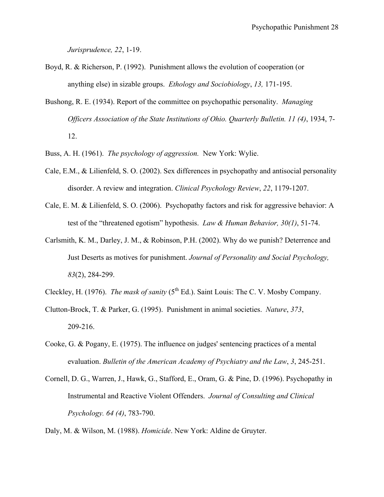*Jurisprudence, 22*, 1-19.

- Boyd, R. & Richerson, P. (1992). Punishment allows the evolution of cooperation (or anything else) in sizable groups. *Ethology and Sociobiology*, *13,* 171-195.
- Bushong, R. E. (1934). Report of the committee on psychopathic personality. *Managing Officers Association of the State Institutions of Ohio. Quarterly Bulletin. 11 (4)*, 1934, 7- 12.
- Buss, A. H. (1961). *The psychology of aggression.* New York: Wylie.
- Cale, E.M., & Lilienfeld, S. O. (2002). Sex differences in psychopathy and antisocial personality disorder. A review and integration. *Clinical Psychology Review*, *22*, 1179-1207.
- Cale, E. M. & Lilienfeld, S. O. (2006). Psychopathy factors and risk for aggressive behavior: A test of the "threatened egotism" hypothesis. *Law & Human Behavior, 30(1)*, 51-74.
- Carlsmith, K. M., Darley, J. M., & Robinson, P.H. (2002). Why do we punish? Deterrence and Just Deserts as motives for punishment. *Journal of Personality and Social Psychology, 83*(2), 284-299.
- Cleckley, H. (1976). *The mask of sanity* (5<sup>th</sup> Ed.). Saint Louis: The C. V. Mosby Company.
- Clutton-Brock, T. & Parker, G. (1995). Punishment in animal societies. *Nature*, *373*, 209-216.
- Cooke, G. & Pogany, E. (1975). The influence on judges' sentencing practices of a mental evaluation. *Bulletin of the American Academy of Psychiatry and the Law*, *3*, 245-251.
- Cornell, D. G., Warren, J., Hawk, G., Stafford, E., Oram, G. & Pine, D. (1996). Psychopathy in Instrumental and Reactive Violent Offenders. *Journal of Consulting and Clinical Psychology. 64 (4)*, 783-790.
- Daly, M. & Wilson, M. (1988). *Homicide*. New York: Aldine de Gruyter.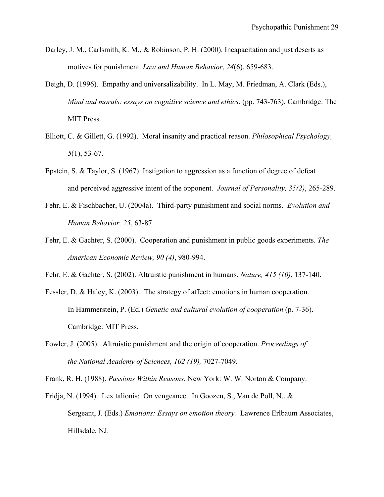- Darley, J. M., Carlsmith, K. M., & Robinson, P. H. (2000). Incapacitation and just deserts as motives for punishment. *Law and Human Behavior*, *24*(6), 659-683.
- Deigh, D. (1996). Empathy and universalizability. In L. May, M. Friedman, A. Clark (Eds.), *Mind and morals: essays on cognitive science and ethics*, (pp. 743-763). Cambridge: The MIT Press.
- Elliott, C. & Gillett, G. (1992). Moral insanity and practical reason. *Philosophical Psychology, 5*(1), 53-67.
- Epstein, S. & Taylor, S. (1967). Instigation to aggression as a function of degree of defeat and perceived aggressive intent of the opponent. *Journal of Personality, 35(2)*, 265-289.
- Fehr, E. & Fischbacher, U. (2004a). Third-party punishment and social norms. *Evolution and Human Behavior, 25*, 63-87.
- Fehr, E. & Gachter, S. (2000). Cooperation and punishment in public goods experiments. *The American Economic Review, 90 (4)*, 980-994.
- Fehr, E. & Gachter, S. (2002). Altruistic punishment in humans. *Nature, 415 (10)*, 137-140.
- Fessler, D. & Haley, K. (2003). The strategy of affect: emotions in human cooperation. In Hammerstein, P. (Ed.) *Genetic and cultural evolution of cooperation* (p. 7-36). Cambridge: MIT Press.
- Fowler, J. (2005). Altruistic punishment and the origin of cooperation. *Proceedings of the National Academy of Sciences, 102 (19),* 7027-7049.
- Frank, R. H. (1988). *Passions Within Reasons*, New York: W. W. Norton & Company.
- Fridja, N. (1994). Lex talionis: On vengeance. In Goozen, S., Van de Poll, N., & Sergeant, J. (Eds.) *Emotions: Essays on emotion theory.* Lawrence Erlbaum Associates, Hillsdale, NJ.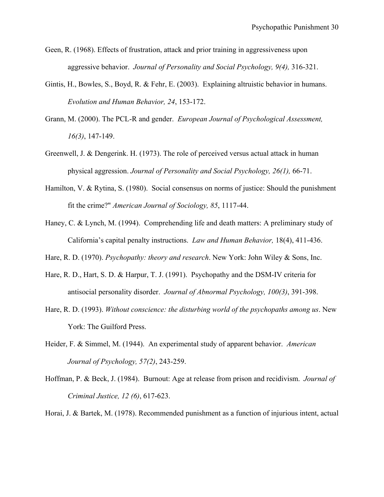- Geen, R. (1968). Effects of frustration, attack and prior training in aggressiveness upon aggressive behavior. *Journal of Personality and Social Psychology, 9(4),* 316-321.
- Gintis, H., Bowles, S., Boyd, R. & Fehr, E. (2003). Explaining altruistic behavior in humans. *Evolution and Human Behavior, 24*, 153-172.
- Grann, M. (2000). The PCL-R and gender. *European Journal of Psychological Assessment, 16(3)*, 147-149.
- Greenwell, J. & Dengerink. H. (1973). The role of perceived versus actual attack in human physical aggression. *Journal of Personality and Social Psychology, 26(1),* 66-71.
- Hamilton, V. & Rytina, S. (1980). Social consensus on norms of justice: Should the punishment fit the crime?" *American Journal of Sociology, 85*, 1117-44.
- Haney, C. & Lynch, M. (1994). Comprehending life and death matters: A preliminary study of California's capital penalty instructions. *Law and Human Behavior,* 18(4), 411-436.
- Hare, R. D. (1970). *Psychopathy: theory and research*. New York: John Wiley & Sons, Inc.
- Hare, R. D., Hart, S. D. & Harpur, T. J. (1991). Psychopathy and the DSM-IV criteria for antisocial personality disorder. *Journal of Abnormal Psychology, 100(3)*, 391-398.
- Hare, R. D. (1993). *Without conscience: the disturbing world of the psychopaths among us*. New York: The Guilford Press.
- Heider, F. & Simmel, M. (1944). An experimental study of apparent behavior. *American Journal of Psychology, 57(2)*, 243-259.
- Hoffman, P. & Beck, J. (1984). Burnout: Age at release from prison and recidivism. *Journal of Criminal Justice, 12 (6)*, 617-623.

Horai, J. & Bartek, M. (1978). Recommended punishment as a function of injurious intent, actual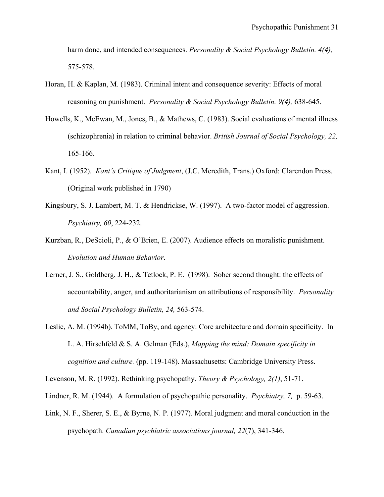harm done, and intended consequences. *Personality & Social Psychology Bulletin. 4(4),*  575-578.

- Horan, H. & Kaplan, M. (1983). Criminal intent and consequence severity: Effects of moral reasoning on punishment. *Personality & Social Psychology Bulletin. 9(4),* 638-645.
- Howells, K., McEwan, M., Jones, B., & Mathews, C. (1983). Social evaluations of mental illness (schizophrenia) in relation to criminal behavior. *British Journal of Social Psychology, 22,* 165-166.
- Kant, I. (1952). *Kant's Critique of Judgment*, (J.C. Meredith, Trans.) Oxford: Clarendon Press. (Original work published in 1790)
- Kingsbury, S. J. Lambert, M. T. & Hendrickse, W. (1997). A two-factor model of aggression. *Psychiatry, 60*, 224-232.
- Kurzban, R., DeScioli, P., & O'Brien, E. (2007). Audience effects on moralistic punishment. *Evolution and Human Behavior*.
- Lerner, J. S., Goldberg, J. H., & Tetlock, P. E. (1998). Sober second thought: the effects of accountability, anger, and authoritarianism on attributions of responsibility. *Personality and Social Psychology Bulletin, 24,* 563-574.
- Leslie, A. M. (1994b). ToMM, ToBy, and agency: Core architecture and domain specificity. In L. A. Hirschfeld & S. A. Gelman (Eds.), *Mapping the mind: Domain specificity in cognition and culture.* (pp. 119-148). Massachusetts: Cambridge University Press.

- Lindner, R. M. (1944). A formulation of psychopathic personality. *Psychiatry, 7,* p. 59-63.
- Link, N. F., Sherer, S. E., & Byrne, N. P. (1977). Moral judgment and moral conduction in the psychopath. *Canadian psychiatric associations journal, 22*(7), 341-346.

Levenson, M. R. (1992). Rethinking psychopathy. *Theory & Psychology, 2(1)*, 51-71.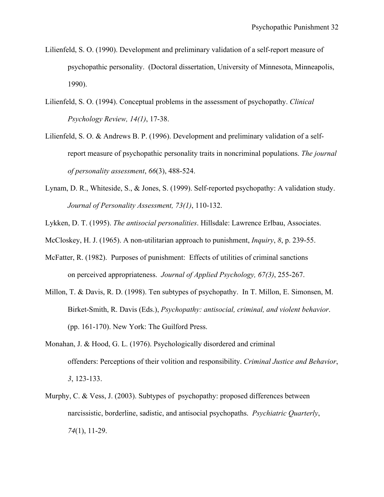- Lilienfeld, S. O. (1990). Development and preliminary validation of a self-report measure of psychopathic personality. (Doctoral dissertation, University of Minnesota, Minneapolis, 1990).
- Lilienfeld, S. O. (1994). Conceptual problems in the assessment of psychopathy. *Clinical Psychology Review, 14(1)*, 17-38.
- Lilienfeld, S. O. & Andrews B. P. (1996). Development and preliminary validation of a selfreport measure of psychopathic personality traits in noncriminal populations. *The journal of personality assessment*, *66*(3), 488-524.
- Lynam, D. R., Whiteside, S., & Jones, S. (1999). Self-reported psychopathy: A validation study. *Journal of Personality Assessment, 73(1)*, 110-132.
- Lykken, D. T. (1995). *The antisocial personalities*. Hillsdale: Lawrence Erlbau, Associates.
- McCloskey, H. J. (1965). A non-utilitarian approach to punishment, *Inquiry*, *8*, p. 239-55.
- McFatter, R. (1982). Purposes of punishment: Effects of utilities of criminal sanctions on perceived appropriateness. *Journal of Applied Psychology, 67(3)*, 255-267.
- Millon, T. & Davis, R. D. (1998). Ten subtypes of psychopathy. In T. Millon, E. Simonsen, M. Birket-Smith, R. Davis (Eds.), *Psychopathy: antisocial, criminal, and violent behavior*. (pp. 161-170). New York: The Guilford Press.
- Monahan, J. & Hood, G. L. (1976). Psychologically disordered and criminal offenders: Perceptions of their volition and responsibility. *Criminal Justice and Behavior*, *3*, 123-133.
- Murphy, C. & Vess, J. (2003). Subtypes of psychopathy: proposed differences between narcissistic, borderline, sadistic, and antisocial psychopaths. *Psychiatric Quarterly*, *74*(1), 11-29.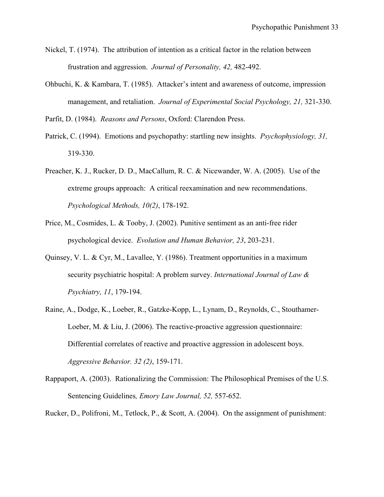- Nickel, T. (1974). The attribution of intention as a critical factor in the relation between frustration and aggression. *Journal of Personality, 42,* 482-492.
- Ohbuchi, K. & Kambara, T. (1985). Attacker's intent and awareness of outcome, impression management, and retaliation. *Journal of Experimental Social Psychology, 21,* 321-330.

Parfit, D. (1984). *Reasons and Persons*, Oxford: Clarendon Press.

- Patrick, C. (1994). Emotions and psychopathy: startling new insights. *Psychophysiology, 31,* 319-330.
- Preacher, K. J., Rucker, D. D., MacCallum, R. C. & Nicewander, W. A. (2005). Use of the extreme groups approach: A critical reexamination and new recommendations. *Psychological Methods, 10(2)*, 178-192.
- Price, M., Cosmides, L. & Tooby, J. (2002). Punitive sentiment as an anti-free rider psychological device. *Evolution and Human Behavior, 23*, 203-231.
- Quinsey, V. L. & Cyr, M., Lavallee, Y. (1986). Treatment opportunities in a maximum security psychiatric hospital: A problem survey. *International Journal of Law & Psychiatry, 11*, 179-194.
- Raine, A., Dodge, K., Loeber, R., Gatzke-Kopp, L., Lynam, D., Reynolds, C., Stouthamer-Loeber, M. & Liu, J. (2006). The reactive-proactive aggression questionnaire: Differential correlates of reactive and proactive aggression in adolescent boys. *Aggressive Behavior. 32 (2)*, 159-171.
- Rappaport, A. (2003). Rationalizing the Commission: The Philosophical Premises of the U.S. Sentencing Guidelines*, Emory Law Journal, 52,* 557-652.

Rucker, D., Polifroni, M., Tetlock, P., & Scott, A. (2004). On the assignment of punishment: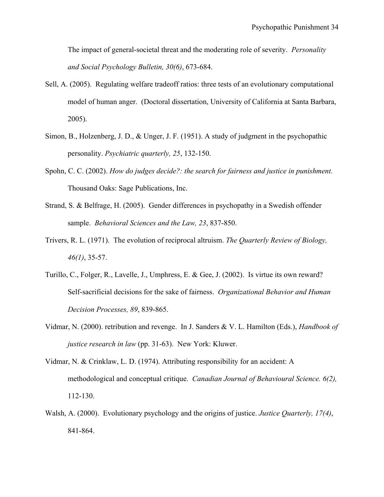The impact of general-societal threat and the moderating role of severity. *Personality and Social Psychology Bulletin, 30(6)*, 673-684.

- Sell, A. (2005). Regulating welfare tradeoff ratios: three tests of an evolutionary computational model of human anger. (Doctoral dissertation, University of California at Santa Barbara, 2005).
- Simon, B., Holzenberg, J. D., & Unger, J. F. (1951). A study of judgment in the psychopathic personality. *Psychiatric quarterly, 25*, 132-150.
- Spohn, C. C. (2002). *How do judges decide?: the search for fairness and justice in punishment.* Thousand Oaks: Sage Publications, Inc.
- Strand, S. & Belfrage, H. (2005). Gender differences in psychopathy in a Swedish offender sample. *Behavioral Sciences and the Law, 23*, 837-850.
- Trivers, R. L. (1971). The evolution of reciprocal altruism. *The Quarterly Review of Biology, 46(1)*, 35-57.
- Turillo, C., Folger, R., Lavelle, J., Umphress, E. & Gee, J. (2002). Is virtue its own reward? Self-sacrificial decisions for the sake of fairness. *Organizational Behavior and Human Decision Processes, 89*, 839-865.
- Vidmar, N. (2000). retribution and revenge. In J. Sanders & V. L. Hamilton (Eds.), *Handbook of justice research in law* (pp. 31-63). New York: Kluwer.
- Vidmar, N. & Crinklaw, L. D. (1974). Attributing responsibility for an accident: A methodological and conceptual critique. *Canadian Journal of Behavioural Science. 6(2),* 112-130.
- Walsh, A. (2000). Evolutionary psychology and the origins of justice. *Justice Quarterly, 17(4)*, 841-864.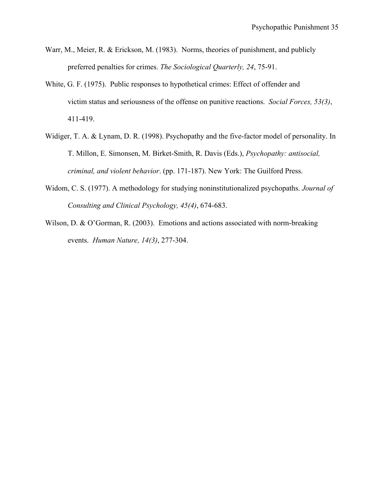- Warr, M., Meier, R. & Erickson, M. (1983). Norms, theories of punishment, and publicly preferred penalties for crimes. *The Sociological Quarterly, 24*, 75-91.
- White, G. F. (1975). Public responses to hypothetical crimes: Effect of offender and victim status and seriousness of the offense on punitive reactions. *Social Forces, 53(3)*, 411-419.
- Widiger, T. A. & Lynam, D. R. (1998). Psychopathy and the five-factor model of personality. In T. Millon, E. Simonsen, M. Birket-Smith, R. Davis (Eds.), *Psychopathy: antisocial, criminal, and violent behavior*. (pp. 171-187). New York: The Guilford Press.
- Widom, C. S. (1977). A methodology for studying noninstitutionalized psychopaths. *Journal of Consulting and Clinical Psychology, 45(4)*, 674-683.
- Wilson, D. & O'Gorman, R. (2003). Emotions and actions associated with norm-breaking events. *Human Nature, 14(3)*, 277-304.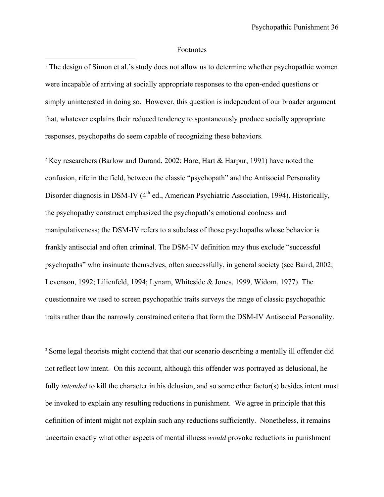#### Footnotes

 $\overline{a}$ 

<sup>1</sup> The design of Simon et al.'s study does not allow us to determine whether psychopathic women were incapable of arriving at socially appropriate responses to the open-ended questions or simply uninterested in doing so. However, this question is independent of our broader argument that, whatever explains their reduced tendency to spontaneously produce socially appropriate responses, psychopaths do seem capable of recognizing these behaviors.

<sup>2</sup> Key researchers (Barlow and Durand, 2002; Hare, Hart & Harpur, 1991) have noted the confusion, rife in the field, between the classic "psychopath" and the Antisocial Personality Disorder diagnosis in DSM-IV (4<sup>th</sup> ed., American Psychiatric Association, 1994). Historically, the psychopathy construct emphasized the psychopath's emotional coolness and manipulativeness; the DSM-IV refers to a subclass of those psychopaths whose behavior is frankly antisocial and often criminal. The DSM-IV definition may thus exclude "successful psychopaths" who insinuate themselves, often successfully, in general society (see Baird, 2002; Levenson, 1992; Lilienfeld, 1994; Lynam, Whiteside & Jones, 1999, Widom, 1977). The questionnaire we used to screen psychopathic traits surveys the range of classic psychopathic traits rather than the narrowly constrained criteria that form the DSM-IV Antisocial Personality.

<sup>3</sup> Some legal theorists might contend that that our scenario describing a mentally ill offender did not reflect low intent. On this account, although this offender was portrayed as delusional, he fully *intended* to kill the character in his delusion, and so some other factor(s) besides intent must be invoked to explain any resulting reductions in punishment. We agree in principle that this definition of intent might not explain such any reductions sufficiently. Nonetheless, it remains uncertain exactly what other aspects of mental illness *would* provoke reductions in punishment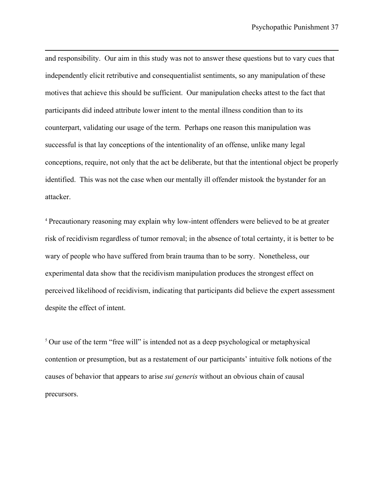and responsibility. Our aim in this study was not to answer these questions but to vary cues that independently elicit retributive and consequentialist sentiments, so any manipulation of these motives that achieve this should be sufficient. Our manipulation checks attest to the fact that participants did indeed attribute lower intent to the mental illness condition than to its counterpart, validating our usage of the term. Perhaps one reason this manipulation was successful is that lay conceptions of the intentionality of an offense, unlike many legal conceptions, require, not only that the act be deliberate, but that the intentional object be properly identified. This was not the case when our mentally ill offender mistook the bystander for an attacker.

 $\overline{a}$ 

<sup>4</sup> Precautionary reasoning may explain why low-intent offenders were believed to be at greater risk of recidivism regardless of tumor removal; in the absence of total certainty, it is better to be wary of people who have suffered from brain trauma than to be sorry. Nonetheless, our experimental data show that the recidivism manipulation produces the strongest effect on perceived likelihood of recidivism, indicating that participants did believe the expert assessment despite the effect of intent.

<sup>5</sup> Our use of the term "free will" is intended not as a deep psychological or metaphysical contention or presumption, but as a restatement of our participants' intuitive folk notions of the causes of behavior that appears to arise *sui generis* without an obvious chain of causal precursors.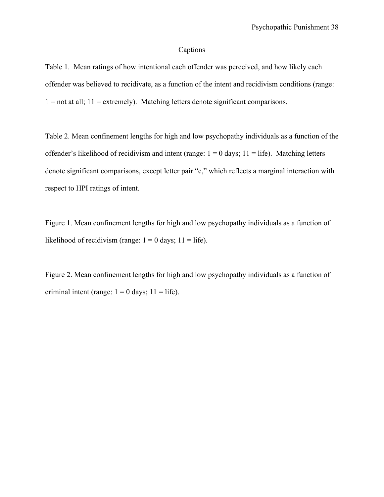## Captions

Table 1. Mean ratings of how intentional each offender was perceived, and how likely each offender was believed to recidivate, as a function of the intent and recidivism conditions (range:  $1 =$  not at all;  $11 =$  extremely). Matching letters denote significant comparisons.

Table 2. Mean confinement lengths for high and low psychopathy individuals as a function of the offender's likelihood of recidivism and intent (range:  $1 = 0$  days;  $11 =$  life). Matching letters denote significant comparisons, except letter pair "c," which reflects a marginal interaction with respect to HPI ratings of intent.

Figure 1. Mean confinement lengths for high and low psychopathy individuals as a function of likelihood of recidivism (range:  $1 = 0$  days;  $11 =$  life).

Figure 2. Mean confinement lengths for high and low psychopathy individuals as a function of criminal intent (range:  $1 = 0$  days;  $11 =$  life).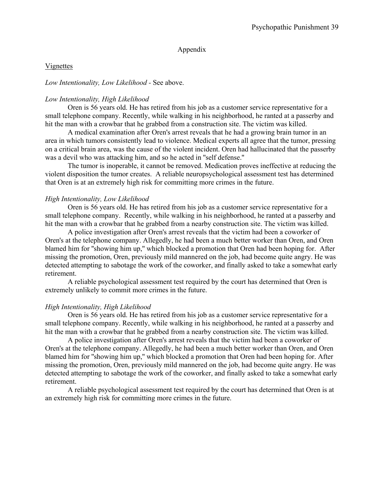## Appendix

#### Vignettes

*Low Intentionality, Low Likelihood -* See above.

#### *Low Intentionality, High Likelihood*

 Oren is 56 years old. He has retired from his job as a customer service representative for a small telephone company. Recently, while walking in his neighborhood, he ranted at a passerby and hit the man with a crowbar that he grabbed from a construction site. The victim was killed.

 A medical examination after Oren's arrest reveals that he had a growing brain tumor in an area in which tumors consistently lead to violence. Medical experts all agree that the tumor, pressing on a critical brain area, was the cause of the violent incident. Oren had hallucinated that the passerby was a devil who was attacking him, and so he acted in ''self defense.''

 The tumor is inoperable, it cannot be removed. Medication proves ineffective at reducing the violent disposition the tumor creates. A reliable neuropsychological assessment test has determined that Oren is at an extremely high risk for committing more crimes in the future.

#### *High Intentionality, Low Likelihood*

 Oren is 56 years old. He has retired from his job as a customer service representative for a small telephone company. Recently, while walking in his neighborhood, he ranted at a passerby and hit the man with a crowbar that he grabbed from a nearby construction site. The victim was killed.

 A police investigation after Oren's arrest reveals that the victim had been a coworker of Oren's at the telephone company. Allegedly, he had been a much better worker than Oren, and Oren blamed him for ''showing him up,'' which blocked a promotion that Oren had been hoping for. After missing the promotion, Oren, previously mild mannered on the job, had become quite angry. He was detected attempting to sabotage the work of the coworker, and finally asked to take a somewhat early retirement.

 A reliable psychological assessment test required by the court has determined that Oren is extremely unlikely to commit more crimes in the future.

#### *High Intentionality, High Likelihood*

 Oren is 56 years old. He has retired from his job as a customer service representative for a small telephone company. Recently, while walking in his neighborhood, he ranted at a passerby and hit the man with a crowbar that he grabbed from a nearby construction site. The victim was killed.

 A police investigation after Oren's arrest reveals that the victim had been a coworker of Oren's at the telephone company. Allegedly, he had been a much better worker than Oren, and Oren blamed him for ''showing him up,'' which blocked a promotion that Oren had been hoping for. After missing the promotion, Oren, previously mild mannered on the job, had become quite angry. He was detected attempting to sabotage the work of the coworker, and finally asked to take a somewhat early retirement.

A reliable psychological assessment test required by the court has determined that Oren is at an extremely high risk for committing more crimes in the future.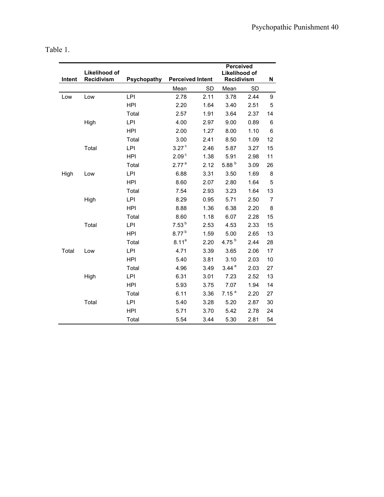Table 1.

| Intent | Likelihood of<br>Recidivism | Psychopathy | <b>Perceived Intent</b> |           | <b>Perceived</b><br>Likelihood of<br>Recidivism |           | N              |
|--------|-----------------------------|-------------|-------------------------|-----------|-------------------------------------------------|-----------|----------------|
|        |                             |             | Mean                    | <b>SD</b> | Mean                                            | <b>SD</b> |                |
| Low    | Low                         | LPI         | 2.78                    | 2.11      | 3.78                                            | 2.44      | 9              |
|        |                             | <b>HPI</b>  | 2.20                    | 1.64      | 3.40                                            | 2.51      | 5              |
|        |                             | Total       | 2.57                    | 1.91      | 3.64                                            | 2.37      | 14             |
|        | High                        | LPI         | 4.00                    | 2.97      | 9.00                                            | 0.89      | 6              |
|        |                             | <b>HPI</b>  | 2.00                    | 1.27      | 8.00                                            | 1.10      | 6              |
|        |                             | Total       | 3.00                    | 2.41      | 8.50                                            | 1.09      | 12             |
|        | Total                       | LPI         | $3.27$ <sup>c</sup>     | 2.46      | 5.87                                            | 3.27      | 15             |
|        |                             | <b>HPI</b>  | 2.09 <sup>c</sup>       | 1.38      | 5.91                                            | 2.98      | 11             |
|        |                             | Total       | 2.77 <sup>a</sup>       | 2.12      | 5.88 $b$                                        | 3.09      | 26             |
| High   | Low                         | LPI         | 6.88                    | 3.31      | 3.50                                            | 1.69      | 8              |
|        |                             | <b>HPI</b>  | 8.60                    | 2.07      | 2.80                                            | 1.64      | 5              |
|        |                             | Total       | 7.54                    | 2.93      | 3.23                                            | 1.64      | 13             |
|        | High                        | LPI         | 8.29                    | 0.95      | 5.71                                            | 2.50      | $\overline{7}$ |
|        |                             | <b>HPI</b>  | 8.88                    | 1.36      | 6.38                                            | 2.20      | 8              |
|        |                             | Total       | 8.60                    | 1.18      | 6.07                                            | 2.28      | 15             |
|        | Total                       | LPI         | $7.53^{b}$              | 2.53      | 4.53                                            | 2.33      | 15             |
|        |                             | <b>HPI</b>  | $8.77^{b}$              | 1.59      | 5.00                                            | 2.65      | 13             |
|        |                             | Total       | 8.11 <sup>a</sup>       | 2.20      | 4.75 $b$                                        | 2.44      | 28             |
| Total  | Low                         | LPI         | 4.71                    | 3.39      | 3.65                                            | 2.06      | 17             |
|        |                             | <b>HPI</b>  | 5.40                    | 3.81      | 3.10                                            | 2.03      | 10             |
|        |                             | Total       | 4.96                    | 3.49      | 3.44 <sup>a</sup>                               | 2.03      | 27             |
|        | High                        | LPI         | 6.31                    | 3.01      | 7.23                                            | 2.52      | 13             |
|        |                             | <b>HPI</b>  | 5.93                    | 3.75      | 7.07                                            | 1.94      | 14             |
|        |                             | Total       | 6.11                    | 3.36      | 7.15 <sup>a</sup>                               | 2.20      | 27             |
|        | Total                       | LPI         | 5.40                    | 3.28      | 5.20                                            | 2.87      | 30             |
|        |                             | <b>HPI</b>  | 5.71                    | 3.70      | 5.42                                            | 2.78      | 24             |
|        |                             | Total       | 5.54                    | 3.44      | 5.30                                            | 2.81      | 54             |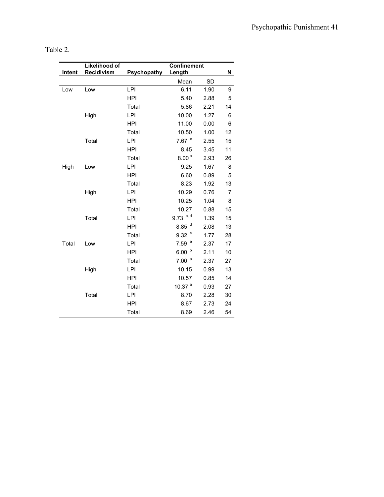Table 2.

| Intent | Likelihood of<br>Recidivism | Psychopathy | <b>Confinement</b><br>Length |           | N              |
|--------|-----------------------------|-------------|------------------------------|-----------|----------------|
|        |                             |             | Mean                         | <b>SD</b> |                |
| Low    | Low                         | LPI         | 6.11                         | 1.90      | 9              |
|        |                             | <b>HPI</b>  | 5.40                         | 2.88      | 5              |
|        |                             | Total       | 5.86                         | 2.21      | 14             |
|        | High                        | LPI         | 10.00                        | 1.27      | 6              |
|        |                             | <b>HPI</b>  | 11.00                        | 0.00      | 6              |
|        |                             | Total       | 10.50                        | 1.00      | 12             |
|        | Total                       | LPI         | $7.67$ <sup>c</sup>          | 2.55      | 15             |
|        |                             | <b>HPI</b>  | 8.45                         | 3.45      | 11             |
|        |                             | Total       | 8.00 <sup>e</sup>            | 2.93      | 26             |
| High   | Low                         | LPI         | 9.25                         | 1.67      | 8              |
|        |                             | <b>HPI</b>  | 6.60                         | 0.89      | 5              |
|        |                             | Total       | 8.23                         | 1.92      | 13             |
|        | High                        | LPI         | 10.29                        | 0.76      | $\overline{7}$ |
|        |                             | <b>HPI</b>  | 10.25                        | 1.04      | 8              |
|        |                             | Total       | 10.27                        | 0.88      | 15             |
|        | Total                       | LPI         | $9.73$ c, d                  | 1.39      | 15             |
|        |                             | <b>HPI</b>  | 8.85 <sup>d</sup>            | 2.08      | 13             |
|        |                             | Total       | e<br>9.32                    | 1.77      | 28             |
| Total  | Low                         | LPI         | 7.59<br>$\overline{b}$       | 2.37      | 17             |
|        |                             | <b>HPI</b>  | $\mathbf{b}$<br>6.00         | 2.11      | 10             |
|        |                             | Total       | 7.00 <sup>a</sup>            | 2.37      | 27             |
|        | High                        | LPI         | 10.15                        | 0.99      | 13             |
|        |                             | <b>HPI</b>  | 10.57                        | 0.85      | 14             |
|        |                             | Total       | 10.37 $a$                    | 0.93      | 27             |
|        | Total                       | LPI         | 8.70                         | 2.28      | 30             |
|        |                             | <b>HPI</b>  | 8.67                         | 2.73      | 24             |
|        |                             | Total       | 8.69                         | 2.46      | 54             |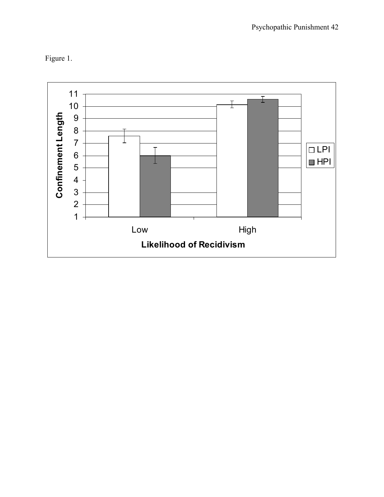